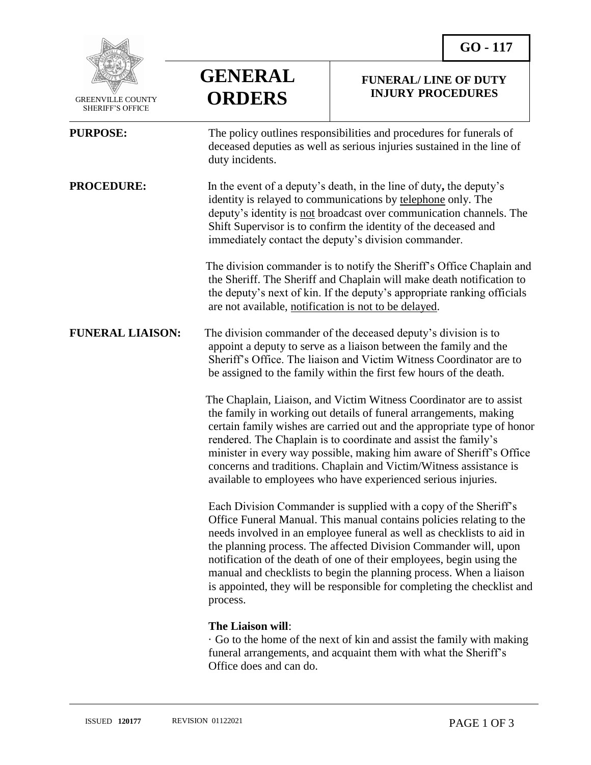

 GREENVILLE COUNTY SHERIFF'S OFFICE

 $\overline{a}$ 

**GENERAL ORDERS**

## **FUNERAL/ LINE OF DUTY INJURY PROCEDURES**

| <b>PURPOSE:</b>         | The policy outlines responsibilities and procedures for funerals of<br>deceased deputies as well as serious injuries sustained in the line of<br>duty incidents.                                                                                                                                                                                                                                                                                                                                                            |
|-------------------------|-----------------------------------------------------------------------------------------------------------------------------------------------------------------------------------------------------------------------------------------------------------------------------------------------------------------------------------------------------------------------------------------------------------------------------------------------------------------------------------------------------------------------------|
| <b>PROCEDURE:</b>       | In the event of a deputy's death, in the line of duty, the deputy's<br>identity is relayed to communications by telephone only. The<br>deputy's identity is not broadcast over communication channels. The<br>Shift Supervisor is to confirm the identity of the deceased and<br>immediately contact the deputy's division commander.                                                                                                                                                                                       |
|                         | The division commander is to notify the Sheriff's Office Chaplain and<br>the Sheriff. The Sheriff and Chaplain will make death notification to<br>the deputy's next of kin. If the deputy's appropriate ranking officials<br>are not available, notification is not to be delayed.                                                                                                                                                                                                                                          |
| <b>FUNERAL LIAISON:</b> | The division commander of the deceased deputy's division is to<br>appoint a deputy to serve as a liaison between the family and the<br>Sheriff's Office. The liaison and Victim Witness Coordinator are to<br>be assigned to the family within the first few hours of the death.                                                                                                                                                                                                                                            |
|                         | The Chaplain, Liaison, and Victim Witness Coordinator are to assist<br>the family in working out details of funeral arrangements, making<br>certain family wishes are carried out and the appropriate type of honor<br>rendered. The Chaplain is to coordinate and assist the family's<br>minister in every way possible, making him aware of Sheriff's Office<br>concerns and traditions. Chaplain and Victim/Witness assistance is<br>available to employees who have experienced serious injuries.                       |
|                         | Each Division Commander is supplied with a copy of the Sheriff's<br>Office Funeral Manual. This manual contains policies relating to the<br>needs involved in an employee funeral as well as checklists to aid in<br>the planning process. The affected Division Commander will, upon<br>notification of the death of one of their employees, begin using the<br>manual and checklists to begin the planning process. When a liaison<br>is appointed, they will be responsible for completing the checklist and<br>process. |
|                         | The Liaison will:<br>$\mathcal{L}$ . The compact of $\mathcal{L}$ is the set of $\mathcal{L}$                                                                                                                                                                                                                                                                                                                                                                                                                               |

· Go to the home of the next of kin and assist the family with making funeral arrangements, and acquaint them with what the Sheriff's Office does and can do.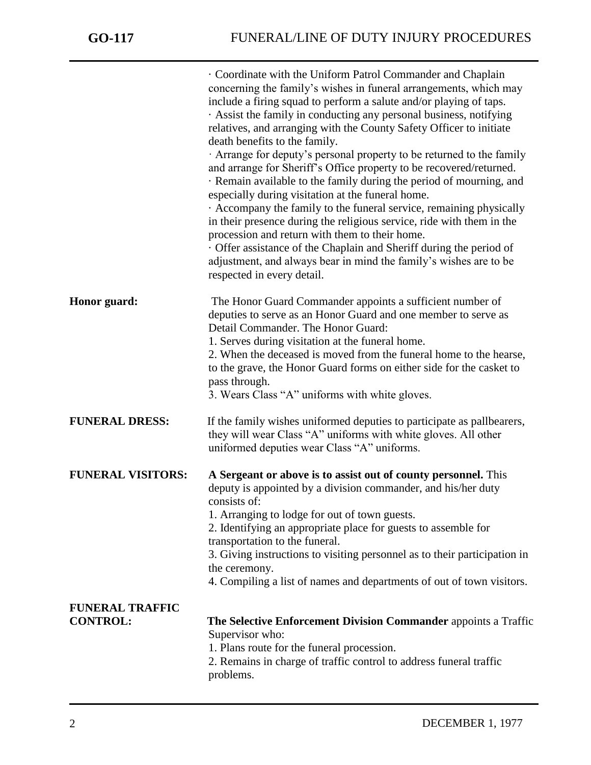|                                           | · Coordinate with the Uniform Patrol Commander and Chaplain<br>concerning the family's wishes in funeral arrangements, which may<br>include a firing squad to perform a salute and/or playing of taps.<br>Assist the family in conducting any personal business, notifying<br>relatives, and arranging with the County Safety Officer to initiate<br>death benefits to the family.<br>Arrange for deputy's personal property to be returned to the family<br>and arrange for Sheriff's Office property to be recovered/returned.<br>· Remain available to the family during the period of mourning, and<br>especially during visitation at the funeral home.<br>Accompany the family to the funeral service, remaining physically<br>in their presence during the religious service, ride with them in the<br>procession and return with them to their home.<br>Offer assistance of the Chaplain and Sheriff during the period of<br>adjustment, and always bear in mind the family's wishes are to be<br>respected in every detail. |
|-------------------------------------------|--------------------------------------------------------------------------------------------------------------------------------------------------------------------------------------------------------------------------------------------------------------------------------------------------------------------------------------------------------------------------------------------------------------------------------------------------------------------------------------------------------------------------------------------------------------------------------------------------------------------------------------------------------------------------------------------------------------------------------------------------------------------------------------------------------------------------------------------------------------------------------------------------------------------------------------------------------------------------------------------------------------------------------------|
| Honor guard:                              | The Honor Guard Commander appoints a sufficient number of<br>deputies to serve as an Honor Guard and one member to serve as<br>Detail Commander. The Honor Guard:<br>1. Serves during visitation at the funeral home.<br>2. When the deceased is moved from the funeral home to the hearse,<br>to the grave, the Honor Guard forms on either side for the casket to<br>pass through.<br>3. Wears Class "A" uniforms with white gloves.                                                                                                                                                                                                                                                                                                                                                                                                                                                                                                                                                                                               |
| <b>FUNERAL DRESS:</b>                     | If the family wishes uniformed deputies to participate as pallbearers,<br>they will wear Class "A" uniforms with white gloves. All other<br>uniformed deputies wear Class "A" uniforms.                                                                                                                                                                                                                                                                                                                                                                                                                                                                                                                                                                                                                                                                                                                                                                                                                                              |
| <b>FUNERAL VISITORS:</b>                  | A Sergeant or above is to assist out of county personnel. This<br>deputy is appointed by a division commander, and his/her duty<br>consists of:<br>1. Arranging to lodge for out of town guests.<br>2. Identifying an appropriate place for guests to assemble for<br>transportation to the funeral.<br>3. Giving instructions to visiting personnel as to their participation in<br>the ceremony.<br>4. Compiling a list of names and departments of out of town visitors.                                                                                                                                                                                                                                                                                                                                                                                                                                                                                                                                                          |
| <b>FUNERAL TRAFFIC</b><br><b>CONTROL:</b> | The Selective Enforcement Division Commander appoints a Traffic<br>Supervisor who:<br>1. Plans route for the funeral procession.<br>2. Remains in charge of traffic control to address funeral traffic<br>problems.                                                                                                                                                                                                                                                                                                                                                                                                                                                                                                                                                                                                                                                                                                                                                                                                                  |